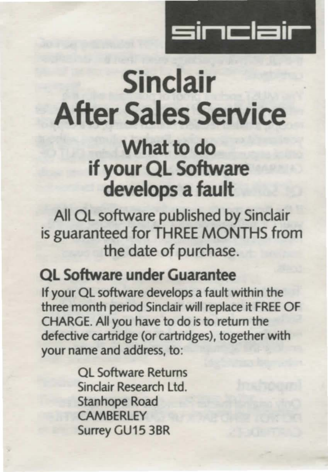

# **Sinclair After Sales Service**

## **What to do if your QL Software develops a fault**

All QL software published by Sinclair is guaranteed for THREE MONTHS from the date of purchase.

#### **QL Software under Guarantee**

If your QL software develops a fault within the three month period Sinclair will replace it FREE OF CHARGE. All you have to do is to return the defective cartridge (or cartridges), together with your name and address, to:

> QL Software Returns Sinclair Research Ltd. Stanhope Road CAMBERLEY Surrey GU15 3BR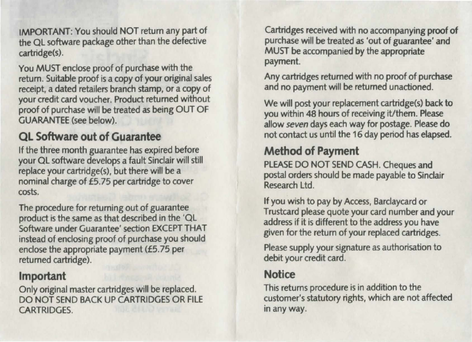IMPORTANT: You should NOT return any part of the QL software package other than the defective cartridge(s).

You MUST enclose proof of purchase with the return. Suitable proof is a copy of your original sales receipt, a dated retailers branch stamp, or a copy of your credit card voucher. Product returned without proof of purchase will be treated as being OUT OF GUARANTEE (see below).

#### **QL Software out of Guarantee**

If the three month guarantee has expired before your QL software develops a fault Sinclair will still replace your cartridge(s), but there will be a nominal charge of £5.75 per cartridge to cover costs.

The procedure for returning out of guarantee product is the same as that described in the 'QL Software under Guarantee' section EXCEPT THAT instead of enclosing proof of purchase you should enclose the appropriate payment (£5.75 per returned cartridge).

#### **Important**

Only original master cartridges will be replaced. DO NOT SEND BACK UP CARTRIDGES OR FILE CARTRIDGES.

Cartridges received with no accompanying proof of purchase will be treated as 'out of guarantee' and MUST be accompanied by the appropriate payment.

Any cartridges returned with no proof of purchase and no payment will be returned unactioned.

We will post your replacement cartridge(s) back to you within 48 hours of receiving it/them. Please allow *seven* days each way for postage. Please do not contact us until the 16 day period has elapsed.

### **Method of Payment**

PLEASE DO NOT SEND CASH. Cheques and postal orders should be made payable to Sinclair Research Ltd.

If you wish to pay by Access, Barclaycard or Trustcard please quote your card number and your address if it is different to the address you have given for the return of your replaced cartridges.

Please supply your signature as authorisation to debit your credit card.

#### **Notice**

This returns procedure is in addition to the customer's statutory rights, which are not affected in any way.